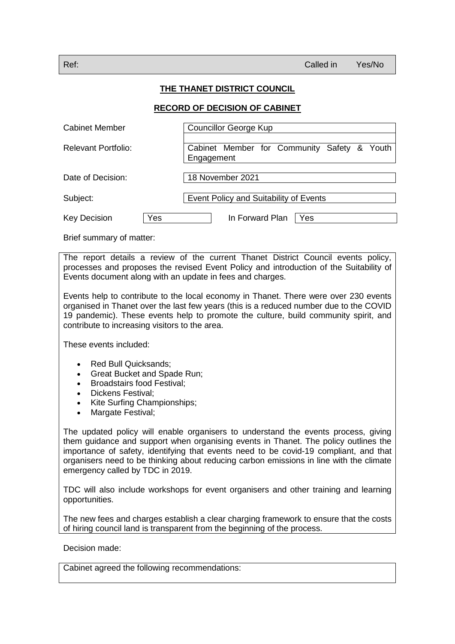## **THE THANET DISTRICT COUNCIL**

## **RECORD OF DECISION OF CABINET**

| <b>Cabinet Member</b>      |     | Councillor George Kup                       |  |
|----------------------------|-----|---------------------------------------------|--|
| <b>Relevant Portfolio:</b> |     | Cabinet Member for Community Safety & Youth |  |
|                            |     | Engagement                                  |  |
| Date of Decision:          |     | 18 November 2021                            |  |
| Subject:                   |     | Event Policy and Suitability of Events      |  |
| Key Decision               | Yes | In Forward Plan<br>Yes                      |  |

Brief summary of matter:

The report details a review of the current Thanet District Council events policy, processes and proposes the revised Event Policy and introduction of the Suitability of Events document along with an update in fees and charges.

Events help to contribute to the local economy in Thanet. There were over 230 events organised in Thanet over the last few years (this is a reduced number due to the COVID 19 pandemic). These events help to promote the culture, build community spirit, and contribute to increasing visitors to the area.

These events included:

- Red Bull Quicksands;
- Great Bucket and Spade Run;
- Broadstairs food Festival;
- Dickens Festival;
- Kite Surfing Championships;
- Margate Festival;

The updated policy will enable organisers to understand the events process, giving them guidance and support when organising events in Thanet. The policy outlines the importance of safety, identifying that events need to be covid-19 compliant, and that organisers need to be thinking about reducing carbon emissions in line with the climate emergency called by TDC in 2019.

TDC will also include workshops for event organisers and other training and learning opportunities.

The new fees and charges establish a clear charging framework to ensure that the costs of hiring council land is transparent from the beginning of the process.

Decision made:

Cabinet agreed the following recommendations: